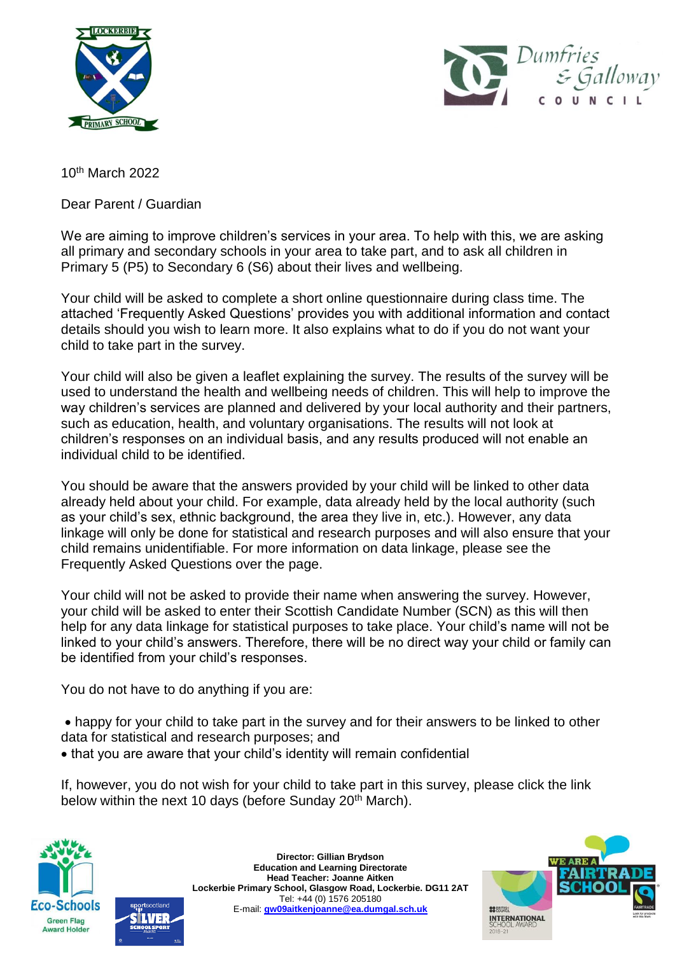



10th March 2022

Dear Parent / Guardian

We are aiming to improve children's services in your area. To help with this, we are asking all primary and secondary schools in your area to take part, and to ask all children in Primary 5 (P5) to Secondary 6 (S6) about their lives and wellbeing.

Your child will be asked to complete a short online questionnaire during class time. The attached 'Frequently Asked Questions' provides you with additional information and contact details should you wish to learn more. It also explains what to do if you do not want your child to take part in the survey.

Your child will also be given a leaflet explaining the survey. The results of the survey will be used to understand the health and wellbeing needs of children. This will help to improve the way children's services are planned and delivered by your local authority and their partners, such as education, health, and voluntary organisations. The results will not look at children's responses on an individual basis, and any results produced will not enable an individual child to be identified.

You should be aware that the answers provided by your child will be linked to other data already held about your child. For example, data already held by the local authority (such as your child's sex, ethnic background, the area they live in, etc.). However, any data linkage will only be done for statistical and research purposes and will also ensure that your child remains unidentifiable. For more information on data linkage, please see the Frequently Asked Questions over the page.

Your child will not be asked to provide their name when answering the survey. However, your child will be asked to enter their Scottish Candidate Number (SCN) as this will then help for any data linkage for statistical purposes to take place. Your child's name will not be linked to your child's answers. Therefore, there will be no direct way your child or family can be identified from your child's responses.

You do not have to do anything if you are:

 happy for your child to take part in the survey and for their answers to be linked to other data for statistical and research purposes; and

that you are aware that your child's identity will remain confidential

If, however, you do not wish for your child to take part in this survey, please click the link below within the next 10 days (before Sunday 20<sup>th</sup> March).





**Director: Gillian Brydson Education and Learning Directorate Head Teacher: Joanne Aitken Lockerbie Primary School, Glasgow Road, Lockerbie. DG11 2AT** Tel: +44 (0) 1576 205180 E-mail: **[gw09aitkenjoanne@ea.dumgal.sch.uk](mailto:gw09aitkenjoanne@ea.dumgal.sch.uk)**